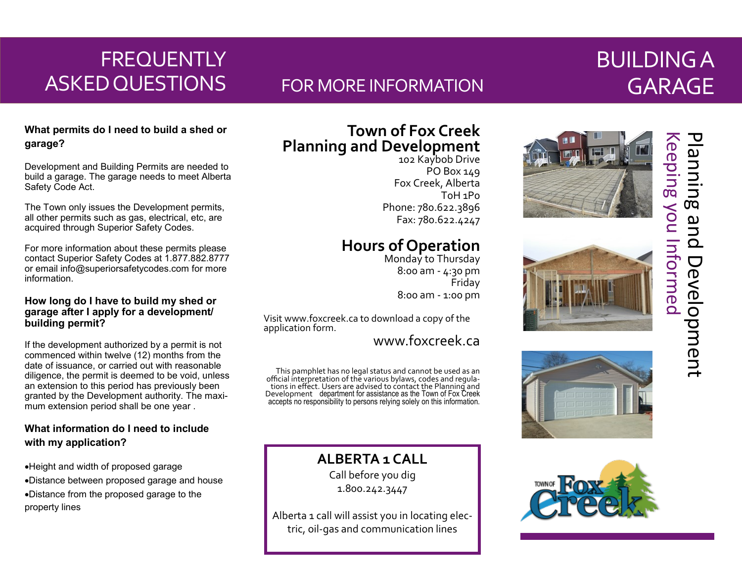# **FREQUENTLY** ASKED QUESTIONS

## FOR MORE INFORMATION

# BUILDING A GARAGE

## **What permits do I need to build a shed or garage?**

Development and Building Permits are needed to build a garage. The garage needs to meet Alberta Safety Code Act.

The Town only issues the Development permits, all other permits such as gas, electrical, etc, are acquired through Superior Safety Codes.

For more information about these permits please contact Superior Safety Codes at 1.877.882.8777 or email info@superiorsafetycodes.com for more information.

### **How long do I have to build my shed or garage after I apply for a development/ building permit?**

If the development authorized by a permit is not commenced within twelve (12) months from the date of issuance, or carried out with reasonable diligence, the permit is deemed to be void, unless an extension to this period has previously been granted by the Development authority. The maximum extension period shall be one year .

## **What information do I need to include with my application?**

- •Height and width of proposed garage
- •Distance between proposed garage and house
- •Distance from the proposed garage to the property lines

## **Town of Fox Creek Planning and Development**

102 Kaybob Drive PO Box 149 Fox Creek, Alberta T0H 1P0 Phone: 780.622.3896 Fax: 780.622.4247

## **Hours of Operation**

Monday to Thursday 8:00 am - 4:30 pm Friday 8:00 am - 1:00 pm

Visit www.foxcreek.ca to download a copy of the application form.

www.foxcreek.ca

This pamphlet has no legal status and cannot be used as an official interpretation of the various bylaws, codes and regulations in effect. Users are advised to contact the Planning and Development department for assistance as the Town of Fox Creek accepts no responsibility to persons relying solely on this information.

**ALBERTA 1 CALL**

Call before you dig 1.800.242.3447

Alberta 1 call will assist you in locating electric, oil-gas and communication lines









l

# Keeping you Informed Planning and Development **Keeping you Informed** Planning and Development